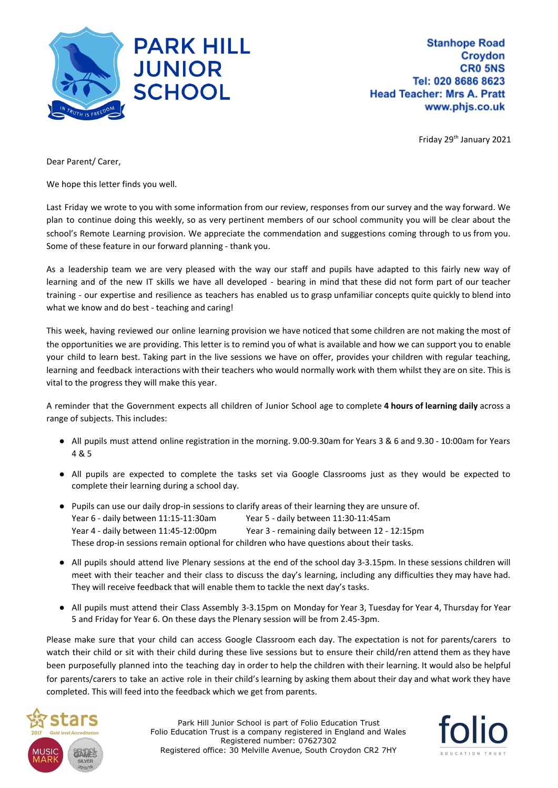

**Stanhope Road Croydon CRO 5NS** Tel: 020 8686 8623 **Head Teacher: Mrs A. Pratt** www.phjs.co.uk

Friday 29<sup>th</sup> January 2021

Dear Parent/ Carer,

We hope this letter finds you well.

Last Friday we wrote to you with some information from our review, responses from our survey and the way forward. We plan to continue doing this weekly, so as very pertinent members of our school community you will be clear about the school's Remote Learning provision. We appreciate the commendation and suggestions coming through to us from you. Some of these feature in our forward planning - thank you.

As a leadership team we are very pleased with the way our staff and pupils have adapted to this fairly new way of learning and of the new IT skills we have all developed - bearing in mind that these did not form part of our teacher training - our expertise and resilience as teachers has enabled us to grasp unfamiliar concepts quite quickly to blend into what we know and do best - teaching and caring!

This week, having reviewed our online learning provision we have noticed that some children are not making the most of the opportunities we are providing. This letter is to remind you of what is available and how we can support you to enable your child to learn best. Taking part in the live sessions we have on offer, provides your children with regular teaching, learning and feedback interactions with their teachers who would normally work with them whilst they are on site. This is vital to the progress they will make this year.

A reminder that the Government expects all children of Junior School age to complete **4 hours of learning daily** across a range of subjects. This includes:

- All pupils must attend online registration in the morning. 9.00-9.30am for Years 3 & 6 and 9.30 10:00am for Years 4 & 5
- All pupils are expected to complete the tasks set via Google Classrooms just as they would be expected to complete their learning during a school day.
- Pupils can use our daily drop-in sessions to clarify areas of their learning they are unsure of. Year 6 - daily between 11:15-11:30am Year 5 - daily between 11:30-11:45am Year 4 - daily between 11:45-12:00pm Year 3 - remaining daily between 12 - 12:15pm These drop-in sessions remain optional for children who have questions about their tasks.
- All pupils should attend live Plenary sessions at the end of the school day 3-3.15pm. In these sessions children will meet with their teacher and their class to discuss the day's learning, including any difficulties they may have had. They will receive feedback that will enable them to tackle the next day's tasks.
- All pupils must attend their Class Assembly 3-3.15pm on Monday for Year 3, Tuesday for Year 4, Thursday for Year 5 and Friday for Year 6. On these days the Plenary session will be from 2.45-3pm.

Please make sure that your child can access Google Classroom each day. The expectation is not for parents/carers to watch their child or sit with their child during these live sessions but to ensure their child/ren attend them as they have been purposefully planned into the teaching day in order to help the children with their learning. It would also be helpful for parents/carers to take an active role in their child's learning by asking them about their day and what work they have completed. This will feed into the feedback which we get from parents.



Park Hill Junior School is part of Folio Education Trust Folio Education Trust is a company registered in England and Wales Registered number: 07627302 Registered office: 30 Melville Avenue, South Croydon CR2 7HY